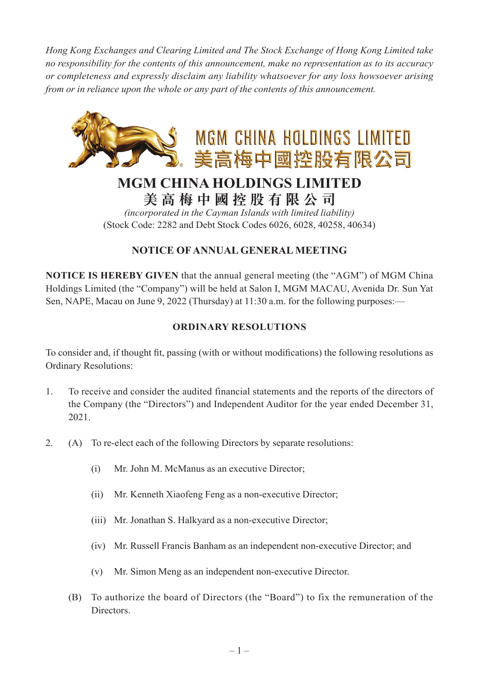*Hong Kong Exchanges and Clearing Limited and The Stock Exchange of Hong Kong Limited take no responsibility for the contents of this announcement, make no representation as to its accuracy or completeness and expressly disclaim any liability whatsoever for any loss howsoever arising from or in reliance upon the whole or any part of the contents of this announcement.*



# **MGM CHINA HOLDINGS LIMITED 美高梅中國控股有限公司**

*(incorporated in the Cayman Islands with limited liability)* (Stock Code: 2282 and Debt Stock Codes 6026, 6028, 40258, 40634)

# **NOTICE OF ANNUAL GENERAL MEETING**

**NOTICE IS HEREBY GIVEN** that the annual general meeting (the "AGM") of MGM China Holdings Limited (the "Company") will be held at Salon I, MGM MACAU, Avenida Dr. Sun Yat Sen, NAPE, Macau on June 9, 2022 (Thursday) at 11:30 a.m. for the following purposes:—

# **ORDINARY RESOLUTIONS**

To consider and, if thought fit, passing (with or without modifications) the following resolutions as Ordinary Resolutions:

- 1. To receive and consider the audited financial statements and the reports of the directors of the Company (the "Directors") and Independent Auditor for the year ended December 31, 2021.
- 2. (A) To re-elect each of the following Directors by separate resolutions:
	- (i) Mr. John M. McManus as an executive Director;
	- (ii) Mr. Kenneth Xiaofeng Feng as a non-executive Director;
	- (iii) Mr. Jonathan S. Halkyard as a non-executive Director;
	- (iv) Mr. Russell Francis Banham as an independent non-executive Director; and
	- (v) Mr. Simon Meng as an independent non-executive Director.
	- (B) To authorize the board of Directors (the "Board") to fix the remuneration of the Directors.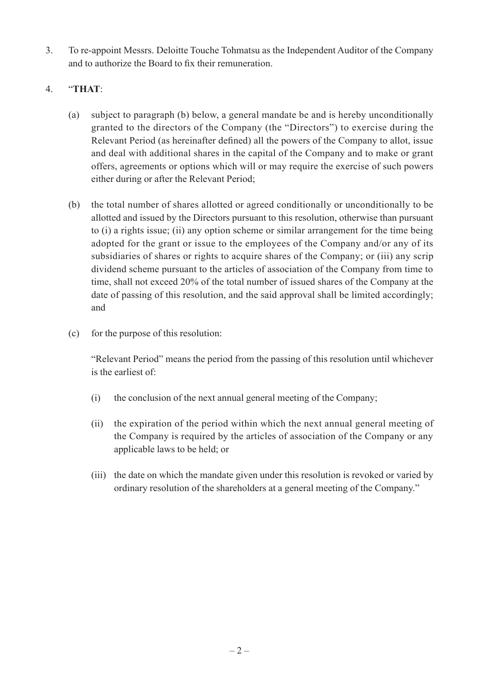3. To re-appoint Messrs. Deloitte Touche Tohmatsu as the Independent Auditor of the Company and to authorize the Board to fix their remuneration.

### 4. "**THAT**:

- (a) subject to paragraph (b) below, a general mandate be and is hereby unconditionally granted to the directors of the Company (the "Directors") to exercise during the Relevant Period (as hereinafter defined) all the powers of the Company to allot, issue and deal with additional shares in the capital of the Company and to make or grant offers, agreements or options which will or may require the exercise of such powers either during or after the Relevant Period;
- (b) the total number of shares allotted or agreed conditionally or unconditionally to be allotted and issued by the Directors pursuant to this resolution, otherwise than pursuant to (i) a rights issue; (ii) any option scheme or similar arrangement for the time being adopted for the grant or issue to the employees of the Company and/or any of its subsidiaries of shares or rights to acquire shares of the Company; or (iii) any scrip dividend scheme pursuant to the articles of association of the Company from time to time, shall not exceed 20% of the total number of issued shares of the Company at the date of passing of this resolution, and the said approval shall be limited accordingly; and
- (c) for the purpose of this resolution:

"Relevant Period" means the period from the passing of this resolution until whichever is the earliest of:

- (i) the conclusion of the next annual general meeting of the Company;
- (ii) the expiration of the period within which the next annual general meeting of the Company is required by the articles of association of the Company or any applicable laws to be held; or
- (iii) the date on which the mandate given under this resolution is revoked or varied by ordinary resolution of the shareholders at a general meeting of the Company."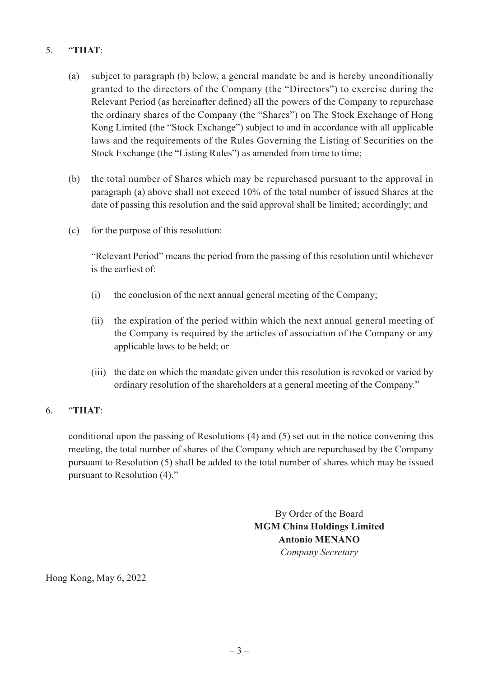## 5. "**THAT**:

- (a) subject to paragraph (b) below, a general mandate be and is hereby unconditionally granted to the directors of the Company (the "Directors") to exercise during the Relevant Period (as hereinafter defined) all the powers of the Company to repurchase the ordinary shares of the Company (the "Shares") on The Stock Exchange of Hong Kong Limited (the "Stock Exchange") subject to and in accordance with all applicable laws and the requirements of the Rules Governing the Listing of Securities on the Stock Exchange (the "Listing Rules") as amended from time to time;
- (b) the total number of Shares which may be repurchased pursuant to the approval in paragraph (a) above shall not exceed 10% of the total number of issued Shares at the date of passing this resolution and the said approval shall be limited; accordingly; and
- (c) for the purpose of this resolution:

"Relevant Period" means the period from the passing of this resolution until whichever is the earliest of:

- (i) the conclusion of the next annual general meeting of the Company;
- (ii) the expiration of the period within which the next annual general meeting of the Company is required by the articles of association of the Company or any applicable laws to be held; or
- (iii) the date on which the mandate given under this resolution is revoked or varied by ordinary resolution of the shareholders at a general meeting of the Company."

#### 6. "**THAT**:

conditional upon the passing of Resolutions (4) and (5) set out in the notice convening this meeting, the total number of shares of the Company which are repurchased by the Company pursuant to Resolution (5) shall be added to the total number of shares which may be issued pursuant to Resolution (4)."

> By Order of the Board **MGM China Holdings Limited Antonio MENANO**  *Company Secretary*

Hong Kong, May 6, 2022